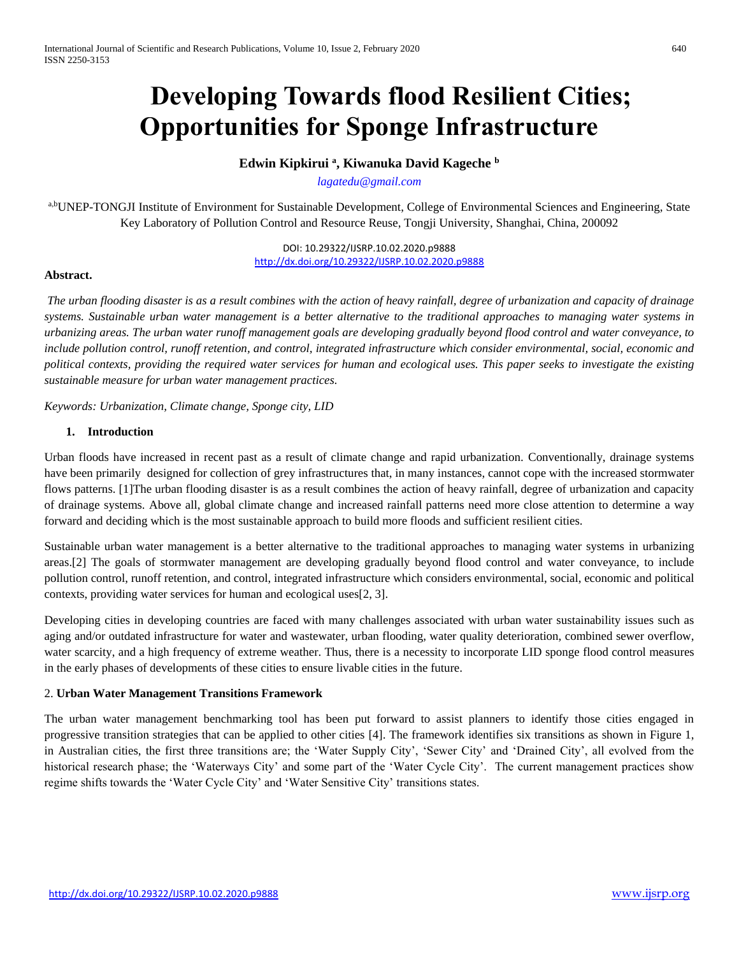# **Developing Towards flood Resilient Cities; Opportunities for Sponge Infrastructure**

**Edwin Kipkirui <sup>a</sup> , Kiwanuka David Kageche <sup>b</sup>**

*[lagatedu@gmail.com](mailto:lagatedu@gmail.com)*

a,bUNEP-TONGJI Institute of Environment for Sustainable Development, College of Environmental Sciences and Engineering, State Key Laboratory of Pollution Control and Resource Reuse, Tongji University, Shanghai, China, 200092

> DOI: 10.29322/IJSRP.10.02.2020.p9888 <http://dx.doi.org/10.29322/IJSRP.10.02.2020.p9888>

## **Abstract.**

*The urban flooding disaster is as a result combines with the action of heavy rainfall, degree of urbanization and capacity of drainage systems. Sustainable urban water management is a better alternative to the traditional approaches to managing water systems in urbanizing areas. The urban water runoff management goals are developing gradually beyond flood control and water conveyance, to include pollution control, runoff retention, and control, integrated infrastructure which consider environmental, social, economic and political contexts, providing the required water services for human and ecological uses. This paper seeks to investigate the existing sustainable measure for urban water management practices.*

*Keywords: Urbanization, Climate change, Sponge city, LID*

## **1. Introduction**

Urban floods have increased in recent past as a result of climate change and rapid urbanization. Conventionally, drainage systems have been primarily designed for collection of grey infrastructures that, in many instances, cannot cope with the increased stormwater flows patterns. [1] The urban flooding disaster is as a result combines the action of heavy rainfall, degree of urbanization and capacity of drainage systems. Above all, global climate change and increased rainfall patterns need more close attention to determine a way forward and deciding which is the most sustainable approach to build more floods and sufficient resilient cities.

Sustainable urban water management is a better alternative to the traditional approaches to managing water systems in urbanizing areas.[2] The goals of stormwater management are developing gradually beyond flood control and water conveyance, to include pollution control, runoff retention, and control, integrated infrastructure which considers environmental, social, economic and political contexts, providing water services for human and ecological uses[2, 3].

Developing cities in developing countries are faced with many challenges associated with urban water sustainability issues such as aging and/or outdated infrastructure for water and wastewater, urban flooding, water quality deterioration, combined sewer overflow, water scarcity, and a high frequency of extreme weather. Thus, there is a necessity to incorporate LID sponge flood control measures in the early phases of developments of these cities to ensure livable cities in the future.

## 2. **Urban Water Management Transitions Framework**

The urban water management benchmarking tool has been put forward to assist planners to identify those cities engaged in progressive transition strategies that can be applied to other cities [4]. The framework identifies six transitions as shown in Figure 1, in Australian cities, the first three transitions are; the 'Water Supply City', 'Sewer City' and 'Drained City', all evolved from the historical research phase; the 'Waterways City' and some part of the 'Water Cycle City'. The current management practices show regime shifts towards the 'Water Cycle City' and 'Water Sensitive City' transitions states.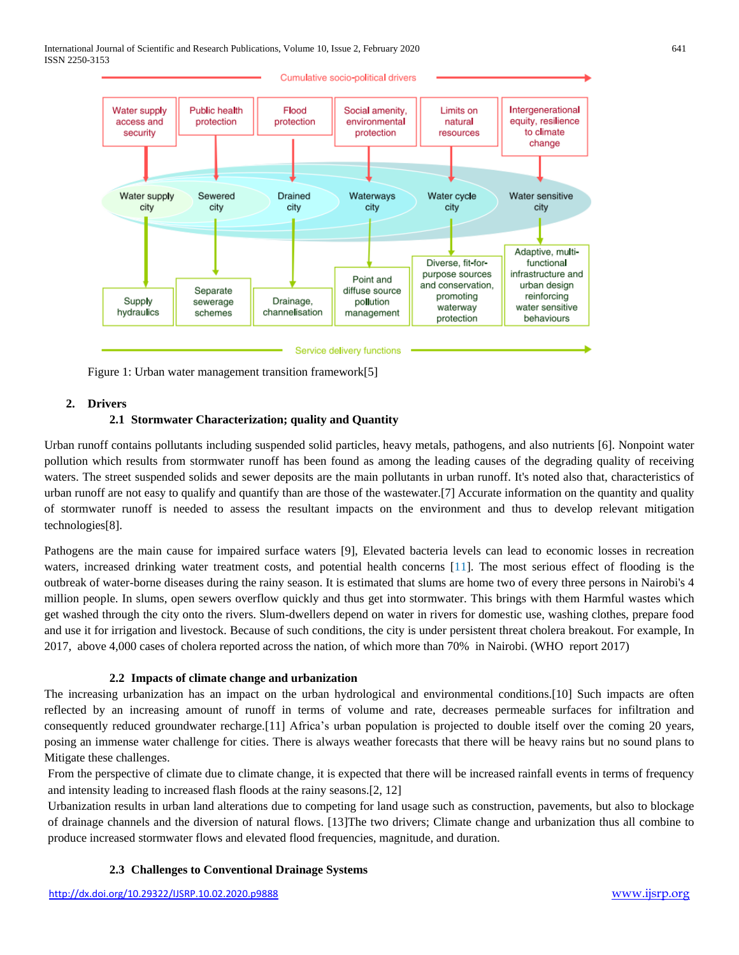International Journal of Scientific and Research Publications, Volume 10, Issue 2, February 2020 641 ISSN 2250-3153



Figure 1: Urban water management transition framework[5]

### **2. Drivers**

## **2.1 Stormwater Characterization; quality and Quantity**

Urban runoff contains pollutants including suspended solid particles, heavy metals, pathogens, and also nutrients [6]. Nonpoint water pollution which results from stormwater runoff has been found as among the leading causes of the degrading quality of receiving waters. The street suspended solids and sewer deposits are the main pollutants in urban runoff. It's noted also that, characteristics of urban runoff are not easy to qualify and quantify than are those of the wastewater.[7] Accurate information on the quantity and quality of stormwater runoff is needed to assess the resultant impacts on the environment and thus to develop relevant mitigation technologies[8].

Pathogens are the main cause for impaired surface waters [9], Elevated bacteria levels can lead to economic losses in recreation waters, increased drinking water treatment costs, and potential health concerns [11]. The most serious effect of flooding is the outbreak of water-borne diseases during the rainy season. It is estimated that slums are home two of every three persons in Nairobi's 4 million people. In slums, open sewers overflow quickly and thus get into stormwater. This brings with them Harmful wastes which get washed through the city onto the rivers. Slum-dwellers depend on water in rivers for domestic use, washing clothes, prepare food and use it for irrigation and livestock. Because of such conditions, the city is under persistent threat cholera breakout. For example, In 2017, above 4,000 cases of cholera reported across the nation, of which more than 70% in Nairobi. (WHO report 2017)

### **2.2 Impacts of climate change and urbanization**

The increasing urbanization has an impact on the urban hydrological and environmental conditions.[10] Such impacts are often reflected by an increasing amount of runoff in terms of volume and rate, decreases permeable surfaces for infiltration and consequently reduced groundwater recharge.[11] Africa's urban population is projected to double itself over the coming 20 years, posing an immense water challenge for cities. There is always weather forecasts that there will be heavy rains but no sound plans to Mitigate these challenges.

From the perspective of climate due to climate change, it is expected that there will be increased rainfall events in terms of frequency and intensity leading to increased flash floods at the rainy seasons.[2, 12]

Urbanization results in urban land alterations due to competing for land usage such as construction, pavements, but also to blockage of drainage channels and the diversion of natural flows. [13]The two drivers; Climate change and urbanization thus all combine to produce increased stormwater flows and elevated flood frequencies, magnitude, and duration.

### **2.3 Challenges to Conventional Drainage Systems**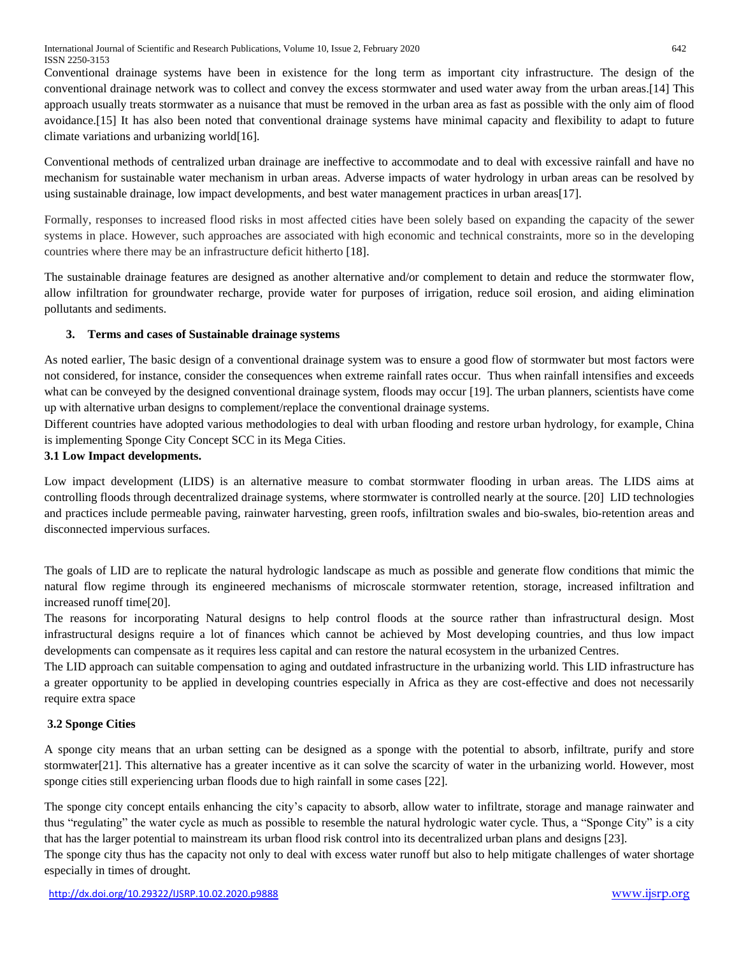Conventional drainage systems have been in existence for the long term as important city infrastructure. The design of the conventional drainage network was to collect and convey the excess stormwater and used water away from the urban areas.[14] This approach usually treats stormwater as a nuisance that must be removed in the urban area as fast as possible with the only aim of flood avoidance.[15] It has also been noted that conventional drainage systems have minimal capacity and flexibility to adapt to future climate variations and urbanizing world[16].

Conventional methods of centralized urban drainage are ineffective to accommodate and to deal with excessive rainfall and have no mechanism for sustainable water mechanism in urban areas. Adverse impacts of water hydrology in urban areas can be resolved by using sustainable drainage, low impact developments, and best water management practices in urban areas[17].

Formally, responses to increased flood risks in most affected cities have been solely based on expanding the capacity of the sewer systems in place. However, such approaches are associated with high economic and technical constraints, more so in the developing countries where there may be an infrastructure deficit hitherto [18].

The sustainable drainage features are designed as another alternative and/or complement to detain and reduce the stormwater flow, allow infiltration for groundwater recharge, provide water for purposes of irrigation, reduce soil erosion, and aiding elimination pollutants and sediments.

# **3. Terms and cases of Sustainable drainage systems**

As noted earlier, The basic design of a conventional drainage system was to ensure a good flow of stormwater but most factors were not considered, for instance, consider the consequences when extreme rainfall rates occur. Thus when rainfall intensifies and exceeds what can be conveyed by the designed conventional drainage system, floods may occur [19]. The urban planners, scientists have come up with alternative urban designs to complement/replace the conventional drainage systems.

Different countries have adopted various methodologies to deal with urban flooding and restore urban hydrology, for example, China is implementing Sponge City Concept SCC in its Mega Cities.

# **3.1 Low Impact developments.**

Low impact development (LIDS) is an alternative measure to combat stormwater flooding in urban areas. The LIDS aims at controlling floods through decentralized drainage systems, where stormwater is controlled nearly at the source. [20] LID technologies and practices include permeable paving, rainwater harvesting, green roofs, infiltration swales and bio-swales, bio-retention areas and disconnected impervious surfaces.

The goals of LID are to replicate the natural hydrologic landscape as much as possible and generate flow conditions that mimic the natural flow regime through its engineered mechanisms of microscale stormwater retention, storage, increased infiltration and increased runoff time[20].

The reasons for incorporating Natural designs to help control floods at the source rather than infrastructural design. Most infrastructural designs require a lot of finances which cannot be achieved by Most developing countries, and thus low impact developments can compensate as it requires less capital and can restore the natural ecosystem in the urbanized Centres.

The LID approach can suitable compensation to aging and outdated infrastructure in the urbanizing world. This LID infrastructure has a greater opportunity to be applied in developing countries especially in Africa as they are cost-effective and does not necessarily require extra space

# **3.2 Sponge Cities**

A sponge city means that an urban setting can be designed as a sponge with the potential to absorb, infiltrate, purify and store stormwater[21]. This alternative has a greater incentive as it can solve the scarcity of water in the urbanizing world. However, most sponge cities still experiencing urban floods due to high rainfall in some cases [22].

The sponge city concept entails enhancing the city's capacity to absorb, allow water to infiltrate, storage and manage rainwater and thus "regulating" the water cycle as much as possible to resemble the natural hydrologic water cycle. Thus, a "Sponge City" is a city that has the larger potential to mainstream its urban flood risk control into its decentralized urban plans and designs [23].

The sponge city thus has the capacity not only to deal with excess water runoff but also to help mitigate challenges of water shortage especially in times of drought.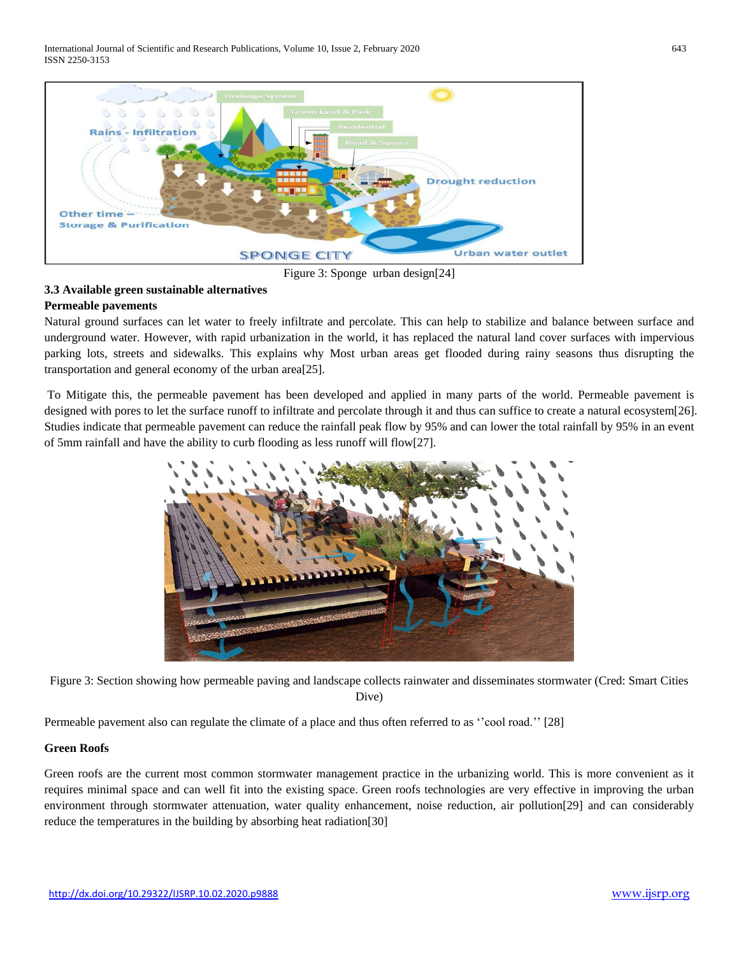International Journal of Scientific and Research Publications, Volume 10, Issue 2, February 2020 643 ISSN 2250-3153



Figure 3: Sponge urban design[24]

## **3.3 Available green sustainable alternatives Permeable pavements**

Natural ground surfaces can let water to freely infiltrate and percolate. This can help to stabilize and balance between surface and underground water. However, with rapid urbanization in the world, it has replaced the natural land cover surfaces with impervious parking lots, streets and sidewalks. This explains why Most urban areas get flooded during rainy seasons thus disrupting the transportation and general economy of the urban area[25].

To Mitigate this, the permeable pavement has been developed and applied in many parts of the world. Permeable pavement is designed with pores to let the surface runoff to infiltrate and percolate through it and thus can suffice to create a natural ecosystem[26]. Studies indicate that permeable pavement can reduce the rainfall peak flow by 95% and can lower the total rainfall by 95% in an event of 5mm rainfall and have the ability to curb flooding as less runoff will flow[27].



Figure 3: Section showing how permeable paving and landscape collects rainwater and disseminates stormwater (Cred: Smart Cities Dive)

Permeable pavement also can regulate the climate of a place and thus often referred to as ''cool road.'' [28]

# **Green Roofs**

Green roofs are the current most common stormwater management practice in the urbanizing world. This is more convenient as it requires minimal space and can well fit into the existing space. Green roofs technologies are very effective in improving the urban environment through stormwater attenuation, water quality enhancement, noise reduction, air pollution[29] and can considerably reduce the temperatures in the building by absorbing heat radiation[30]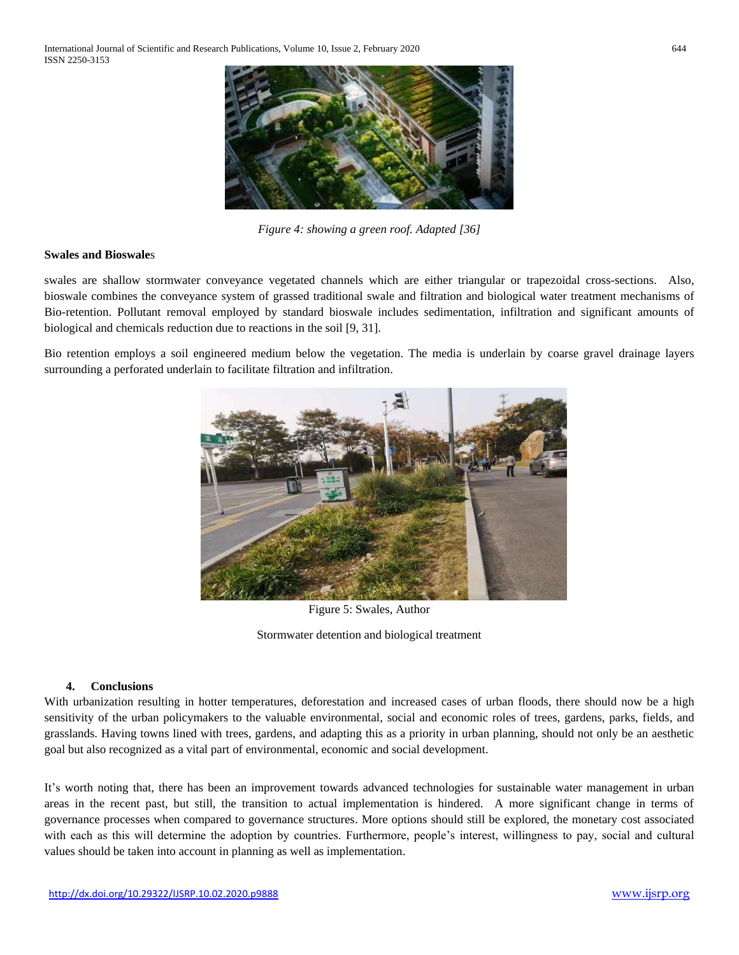International Journal of Scientific and Research Publications, Volume 10, Issue 2, February 2020 644 ISSN 2250-3153



*Figure 4: showing a green roof. Adapted [36]*

### **Swales and Bioswale**s

swales are shallow stormwater conveyance vegetated channels which are either triangular or trapezoidal cross-sections. Also, bioswale combines the conveyance system of grassed traditional swale and filtration and biological water treatment mechanisms of Bio-retention. Pollutant removal employed by standard bioswale includes sedimentation, infiltration and significant amounts of biological and chemicals reduction due to reactions in the soil [9, 31].

Bio retention employs a soil engineered medium below the vegetation. The media is underlain by coarse gravel drainage layers surrounding a perforated underlain to facilitate filtration and infiltration.



Figure 5: Swales, Author

Stormwater detention and biological treatment

## **4. Conclusions**

With urbanization resulting in hotter temperatures, deforestation and increased cases of urban floods, there should now be a high sensitivity of the urban policymakers to the valuable environmental, social and economic roles of trees, gardens, parks, fields, and grasslands. Having towns lined with trees, gardens, and adapting this as a priority in urban planning, should not only be an aesthetic goal but also recognized as a vital part of environmental, economic and social development.

It's worth noting that, there has been an improvement towards advanced technologies for sustainable water management in urban areas in the recent past, but still, the transition to actual implementation is hindered. A more significant change in terms of governance processes when compared to governance structures. More options should still be explored, the monetary cost associated with each as this will determine the adoption by countries. Furthermore, people's interest, willingness to pay, social and cultural values should be taken into account in planning as well as implementation.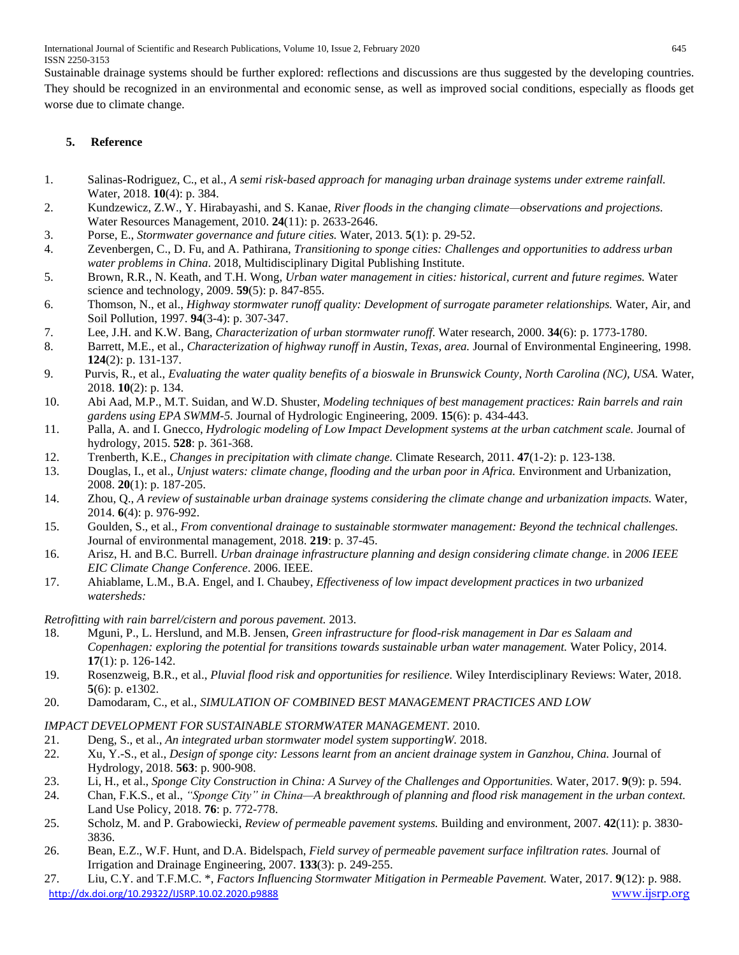International Journal of Scientific and Research Publications, Volume 10, Issue 2, February 2020 645 ISSN 2250-3153

Sustainable drainage systems should be further explored: reflections and discussions are thus suggested by the developing countries. They should be recognized in an environmental and economic sense, as well as improved social conditions, especially as floods get worse due to climate change.

# **5. Reference**

- 1. Salinas-Rodriguez, C., et al., *A semi risk-based approach for managing urban drainage systems under extreme rainfall.* Water, 2018. **10**(4): p. 384.
- 2. Kundzewicz, Z.W., Y. Hirabayashi, and S. Kanae, *River floods in the changing climate—observations and projections.* Water Resources Management, 2010. **24**(11): p. 2633-2646.
- 3. Porse, E., *Stormwater governance and future cities.* Water, 2013. **5**(1): p. 29-52.
- 4. Zevenbergen, C., D. Fu, and A. Pathirana, *Transitioning to sponge cities: Challenges and opportunities to address urban water problems in China*. 2018, Multidisciplinary Digital Publishing Institute.
- 5. Brown, R.R., N. Keath, and T.H. Wong, *Urban water management in cities: historical, current and future regimes.* Water science and technology, 2009. **59**(5): p. 847-855.
- 6. Thomson, N., et al., *Highway stormwater runoff quality: Development of surrogate parameter relationships.* Water, Air, and Soil Pollution, 1997. **94**(3-4): p. 307-347.
- 7. Lee, J.H. and K.W. Bang, *Characterization of urban stormwater runoff.* Water research, 2000. **34**(6): p. 1773-1780.
- 8. Barrett, M.E., et al., *Characterization of highway runoff in Austin, Texas, area.* Journal of Environmental Engineering, 1998. **124**(2): p. 131-137.
- 9. Purvis, R., et al., *Evaluating the water quality benefits of a bioswale in Brunswick County, North Carolina (NC), USA.* Water, 2018. **10**(2): p. 134.
- 10. Abi Aad, M.P., M.T. Suidan, and W.D. Shuster, *Modeling techniques of best management practices: Rain barrels and rain gardens using EPA SWMM-5.* Journal of Hydrologic Engineering, 2009. **15**(6): p. 434-443.
- 11. Palla, A. and I. Gnecco, *Hydrologic modeling of Low Impact Development systems at the urban catchment scale.* Journal of hydrology, 2015. **528**: p. 361-368.
- 12. Trenberth, K.E., *Changes in precipitation with climate change.* Climate Research, 2011. **47**(1-2): p. 123-138.
- 13. Douglas, I., et al., *Unjust waters: climate change, flooding and the urban poor in Africa.* Environment and Urbanization, 2008. **20**(1): p. 187-205.
- 14. Zhou, Q., *A review of sustainable urban drainage systems considering the climate change and urbanization impacts.* Water, 2014. **6**(4): p. 976-992.
- 15. Goulden, S., et al., *From conventional drainage to sustainable stormwater management: Beyond the technical challenges.* Journal of environmental management, 2018. **219**: p. 37-45.
- 16. Arisz, H. and B.C. Burrell. *Urban drainage infrastructure planning and design considering climate change*. in *2006 IEEE EIC Climate Change Conference*. 2006. IEEE.
- 17. Ahiablame, L.M., B.A. Engel, and I. Chaubey, *Effectiveness of low impact development practices in two urbanized watersheds:*

*Retrofitting with rain barrel/cistern and porous pavement.* 2013.

- 18. Mguni, P., L. Herslund, and M.B. Jensen, *Green infrastructure for flood-risk management in Dar es Salaam and Copenhagen: exploring the potential for transitions towards sustainable urban water management.* Water Policy, 2014. **17**(1): p. 126-142.
- 19. Rosenzweig, B.R., et al., *Pluvial flood risk and opportunities for resilience.* Wiley Interdisciplinary Reviews: Water, 2018. **5**(6): p. e1302.
- 20. Damodaram, C., et al., *SIMULATION OF COMBINED BEST MANAGEMENT PRACTICES AND LOW*

# *IMPACT DEVELOPMENT FOR SUSTAINABLE STORMWATER MANAGEMENT.* 2010.

- 21. Deng, S., et al., *An integrated urban stormwater model system supportingW.* 2018.
- 22. Xu, Y.-S., et al., *Design of sponge city: Lessons learnt from an ancient drainage system in Ganzhou, China.* Journal of Hydrology, 2018. **563**: p. 900-908.
- 23. Li, H., et al., *Sponge City Construction in China: A Survey of the Challenges and Opportunities.* Water, 2017. **9**(9): p. 594.
- 24. Chan, F.K.S., et al., *"Sponge City" in China—A breakthrough of planning and flood risk management in the urban context.* Land Use Policy, 2018. **76**: p. 772-778.
- 25. Scholz, M. and P. Grabowiecki, *Review of permeable pavement systems.* Building and environment, 2007. **42**(11): p. 3830- 3836.
- 26. Bean, E.Z., W.F. Hunt, and D.A. Bidelspach, *Field survey of permeable pavement surface infiltration rates.* Journal of Irrigation and Drainage Engineering, 2007. **133**(3): p. 249-255.
- <http://dx.doi.org/10.29322/IJSRP.10.02.2020.p9888> [www.ijsrp.org](http://ijsrp.org/) 27. Liu, C.Y. and T.F.M.C. \*, *Factors Influencing Stormwater Mitigation in Permeable Pavement.* Water, 2017. **9**(12): p. 988.